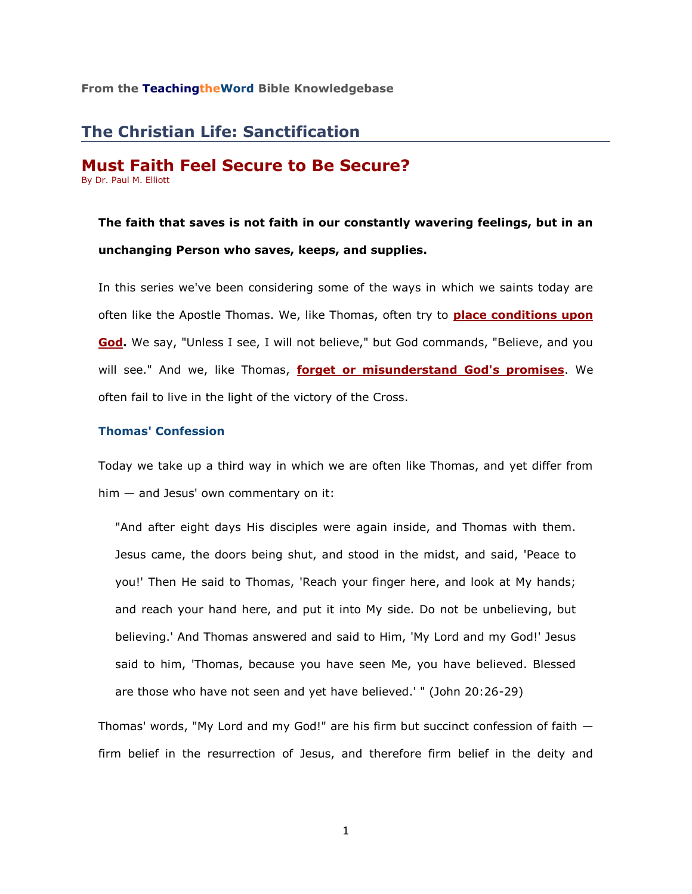# **The Christian Life: Sanctification**

### **Must Faith Feel Secure to Be Secure?** By Dr. Paul M. Elliott

**The faith that saves is not faith in our constantly wavering feelings, but in an unchanging Person who saves, keeps, and supplies.**

In this series we've been considering some of the ways in which we saints today are often like the Apostle Thomas. We, like Thomas, often try to **[place conditions upon](http://www.netministry.com/editor41/tq0273/article_tq0273.htm)  [God.](http://www.netministry.com/editor41/tq0273/article_tq0273.htm)** We say, "Unless I see, I will not believe," but God commands, "Believe, and you will see." And we, like Thomas, **[forget or misunderstand God's promises](http://www.netministry.com/editor41/tq0274/article_tq0274.htm)**. We often fail to live in the light of the victory of the Cross.

# **Thomas' Confession**

Today we take up a third way in which we are often like Thomas, and yet differ from him — and Jesus' own commentary on it:

"And after eight days His disciples were again inside, and Thomas with them. Jesus came, the doors being shut, and stood in the midst, and said, 'Peace to you!' Then He said to Thomas, 'Reach your finger here, and look at My hands; and reach your hand here, and put it into My side. Do not be unbelieving, but believing.' And Thomas answered and said to Him, 'My Lord and my God!' Jesus said to him, 'Thomas, because you have seen Me, you have believed. Blessed are those who have not seen and yet have believed.' " (John 20:26-29)

Thomas' words, "My Lord and my God!" are his firm but succinct confession of faith firm belief in the resurrection of Jesus, and therefore firm belief in the deity and

1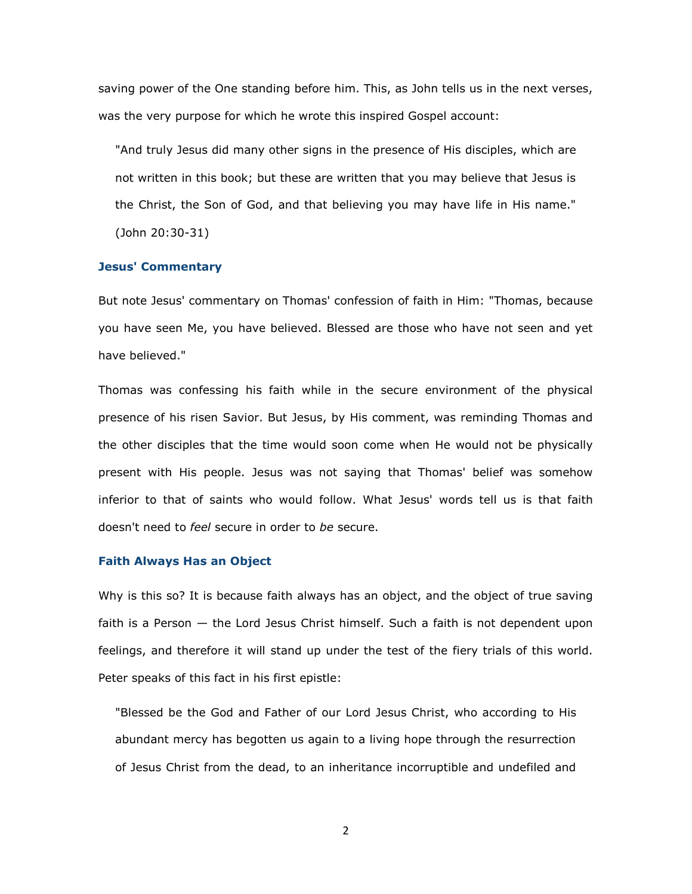saving power of the One standing before him. This, as John tells us in the next verses, was the very purpose for which he wrote this inspired Gospel account:

"And truly Jesus did many other signs in the presence of His disciples, which are not written in this book; but these are written that you may believe that Jesus is the Christ, the Son of God, and that believing you may have life in His name." (John 20:30-31)

# **Jesus' Commentary**

But note Jesus' commentary on Thomas' confession of faith in Him: "Thomas, because you have seen Me, you have believed. Blessed are those who have not seen and yet have believed."

Thomas was confessing his faith while in the secure environment of the physical presence of his risen Savior. But Jesus, by His comment, was reminding Thomas and the other disciples that the time would soon come when He would not be physically present with His people. Jesus was not saying that Thomas' belief was somehow inferior to that of saints who would follow. What Jesus' words tell us is that faith doesn't need to *feel* secure in order to *be* secure.

#### **Faith Always Has an Object**

Why is this so? It is because faith always has an object, and the object of true saving faith is a Person — the Lord Jesus Christ himself. Such a faith is not dependent upon feelings, and therefore it will stand up under the test of the fiery trials of this world. Peter speaks of this fact in his first epistle:

"Blessed be the God and Father of our Lord Jesus Christ, who according to His abundant mercy has begotten us again to a living hope through the resurrection of Jesus Christ from the dead, to an inheritance incorruptible and undefiled and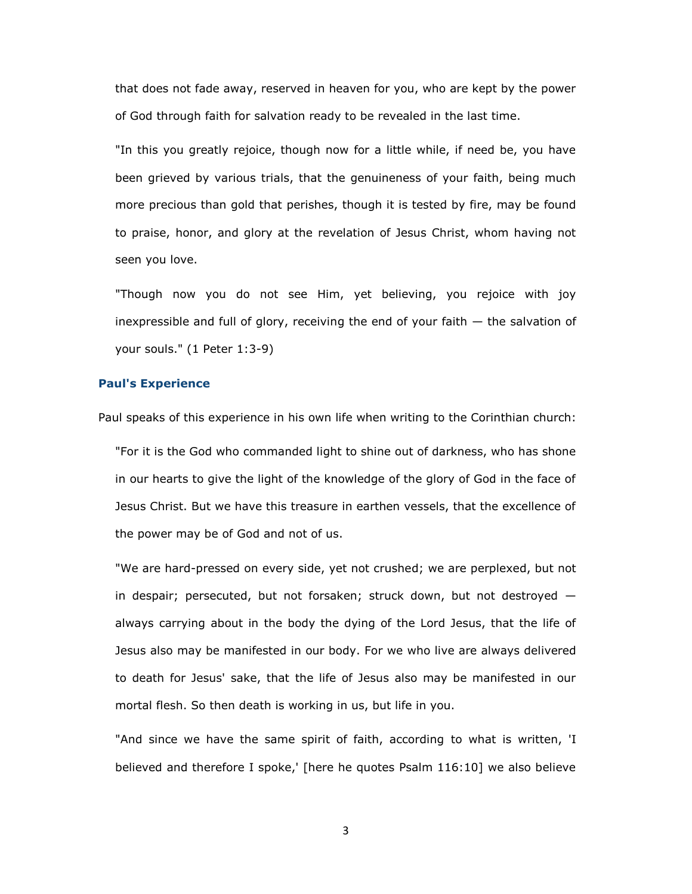that does not fade away, reserved in heaven for you, who are kept by the power of God through faith for salvation ready to be revealed in the last time.

"In this you greatly rejoice, though now for a little while, if need be, you have been grieved by various trials, that the genuineness of your faith, being much more precious than gold that perishes, though it is tested by fire, may be found to praise, honor, and glory at the revelation of Jesus Christ, whom having not seen you love.

"Though now you do not see Him, yet believing, you rejoice with joy inexpressible and full of glory, receiving the end of your faith — the salvation of your souls." (1 Peter 1:3-9)

### **Paul's Experience**

Paul speaks of this experience in his own life when writing to the Corinthian church:

"For it is the God who commanded light to shine out of darkness, who has shone in our hearts to give the light of the knowledge of the glory of God in the face of Jesus Christ. But we have this treasure in earthen vessels, that the excellence of the power may be of God and not of us.

"We are hard-pressed on every side, yet not crushed; we are perplexed, but not in despair; persecuted, but not forsaken; struck down, but not destroyed always carrying about in the body the dying of the Lord Jesus, that the life of Jesus also may be manifested in our body. For we who live are always delivered to death for Jesus' sake, that the life of Jesus also may be manifested in our mortal flesh. So then death is working in us, but life in you.

"And since we have the same spirit of faith, according to what is written, 'I believed and therefore I spoke,' [here he quotes Psalm 116:10] we also believe

3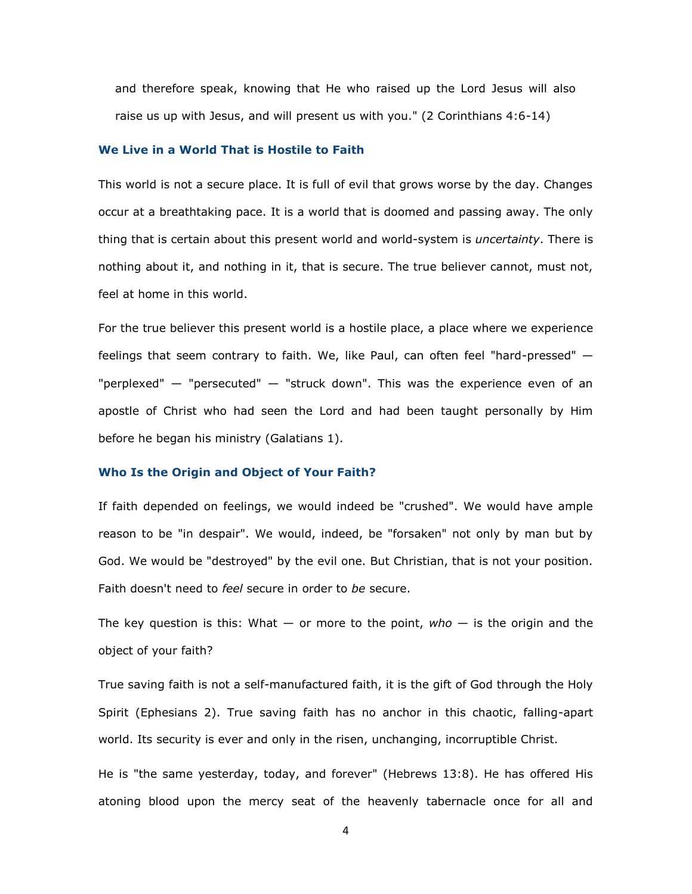and therefore speak, knowing that He who raised up the Lord Jesus will also raise us up with Jesus, and will present us with you." (2 Corinthians 4:6-14)

## **We Live in a World That is Hostile to Faith**

This world is not a secure place. It is full of evil that grows worse by the day. Changes occur at a breathtaking pace. It is a world that is doomed and passing away. The only thing that is certain about this present world and world-system is *uncertainty*. There is nothing about it, and nothing in it, that is secure. The true believer cannot, must not, feel at home in this world.

For the true believer this present world is a hostile place, a place where we experience feelings that seem contrary to faith. We, like Paul, can often feel "hard-pressed" — "perplexed" — "persecuted" — "struck down". This was the experience even of an apostle of Christ who had seen the Lord and had been taught personally by Him before he began his ministry (Galatians 1).

# **Who Is the Origin and Object of Your Faith?**

If faith depended on feelings, we would indeed be "crushed". We would have ample reason to be "in despair". We would, indeed, be "forsaken" not only by man but by God. We would be "destroyed" by the evil one. But Christian, that is not your position. Faith doesn't need to *feel* secure in order to *be* secure.

The key question is this: What — or more to the point, *who* — is the origin and the object of your faith?

True saving faith is not a self-manufactured faith, it is the gift of God through the Holy Spirit (Ephesians 2). True saving faith has no anchor in this chaotic, falling-apart world. Its security is ever and only in the risen, unchanging, incorruptible Christ.

He is "the same yesterday, today, and forever" (Hebrews 13:8). He has offered His atoning blood upon the mercy seat of the heavenly tabernacle once for all and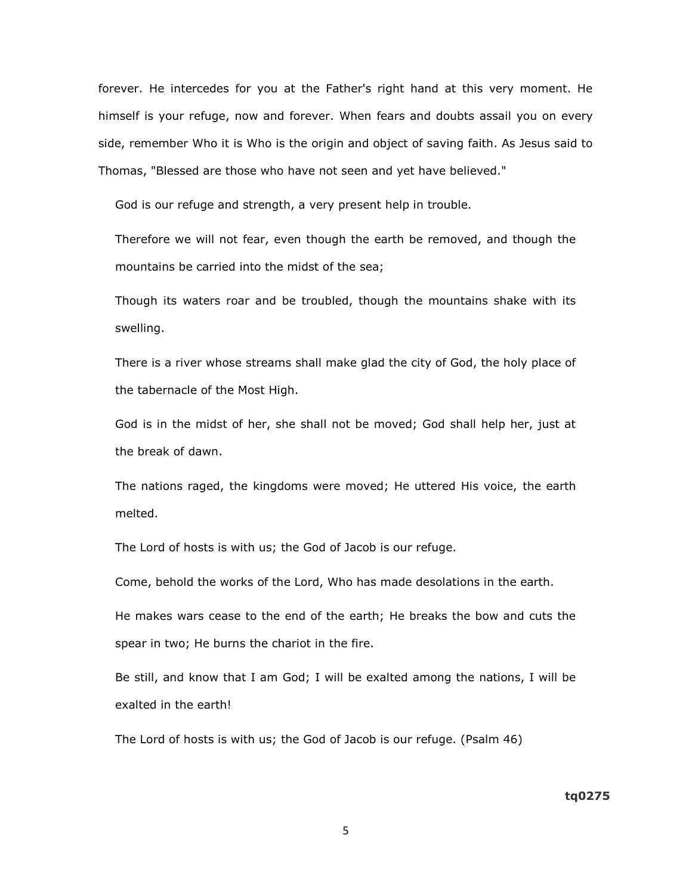forever. He intercedes for you at the Father's right hand at this very moment. He himself is your refuge, now and forever. When fears and doubts assail you on every side, remember Who it is Who is the origin and object of saving faith. As Jesus said to Thomas, "Blessed are those who have not seen and yet have believed."

God is our refuge and strength, a very present help in trouble.

Therefore we will not fear, even though the earth be removed, and though the mountains be carried into the midst of the sea;

Though its waters roar and be troubled, though the mountains shake with its swelling.

There is a river whose streams shall make glad the city of God, the holy place of the tabernacle of the Most High.

God is in the midst of her, she shall not be moved; God shall help her, just at the break of dawn.

The nations raged, the kingdoms were moved; He uttered His voice, the earth melted.

The Lord of hosts is with us; the God of Jacob is our refuge.

Come, behold the works of the Lord, Who has made desolations in the earth.

He makes wars cease to the end of the earth; He breaks the bow and cuts the spear in two; He burns the chariot in the fire.

Be still, and know that I am God; I will be exalted among the nations, I will be exalted in the earth!

The Lord of hosts is with us; the God of Jacob is our refuge. (Psalm 46)